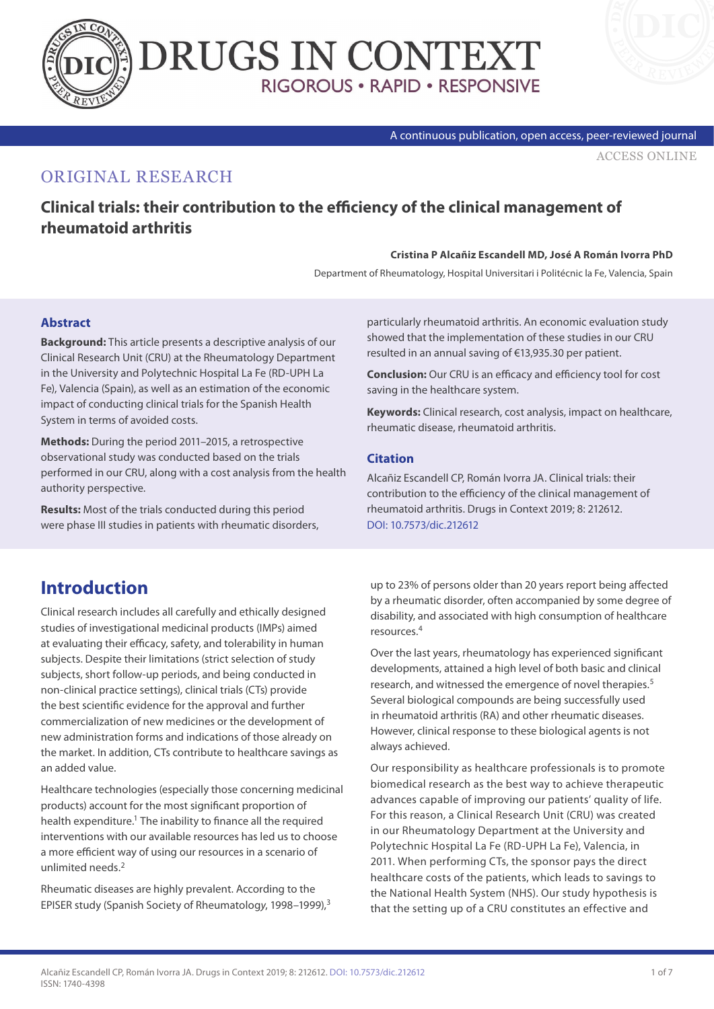



#### A continuous publication, open access, peer-reviewed journal

[ACCESS ONLINE](https://www.drugsincontext.com/clinical-trials:-their-contribution-to-the-efficiency-of-the-clinical-management-of-rheumatoid-arthritis)

### ORIGINAL RESEARCH

**Clinical trials: their contribution to the efficiency of the clinical management of rheumatoid arthritis**

#### **Cristina P Alcañiz Escandell MD, José A Román Ivorra PhD**

Department of Rheumatology, Hospital Universitari i Politécnic la Fe, Valencia, Spain

#### **Abstract**

**Background:** This article presents a descriptive analysis of our Clinical Research Unit (CRU) at the Rheumatology Department in the University and Polytechnic Hospital La Fe (RD-UPH La Fe), Valencia (Spain), as well as an estimation of the economic impact of conducting clinical trials for the Spanish Health System in terms of avoided costs.

**Methods:** During the period 2011–2015, a retrospective observational study was conducted based on the trials performed in our CRU, along with a cost analysis from the health authority perspective.

**Results:** Most of the trials conducted during this period were phase III studies in patients with rheumatic disorders, particularly rheumatoid arthritis. An economic evaluation study showed that the implementation of these studies in our CRU resulted in an annual saving of €13,935.30 per patient.

**Conclusion:** Our CRU is an efficacy and efficiency tool for cost saving in the healthcare system.

**Keywords:** Clinical research, cost analysis, impact on healthcare, rheumatic disease, rheumatoid arthritis.

#### **Citation**

Alcañiz Escandell CP, Román Ivorra JA. Clinical trials: their contribution to the efficiency of the clinical management of rheumatoid arthritis. Drugs in Context 2019; 8: 212612. [DOI: 10.7573/dic.212612](https://doi.org/10.7573/dic.212612)

## **Introduction**

Clinical research includes all carefully and ethically designed studies of investigational medicinal products (IMPs) aimed at evaluating their efficacy, safety, and tolerability in human subjects. Despite their limitations (strict selection of study subjects, short follow-up periods, and being conducted in non-clinical practice settings), clinical trials (CTs) provide the best scientific evidence for the approval and further commercialization of new medicines or the development of new administration forms and indications of those already on the market. In addition, CTs contribute to healthcare savings as an added value.

Healthcare technologies (especially those concerning medicinal products) account for the most significant proportion of health expenditure.<sup>1</sup> The inability to finance all the required interventions with our available resources has led us to choose a more efficient way of using our resources in a scenario of unlimited needs.2

Rheumatic diseases are highly prevalent. According to the EPISER study (Spanish Society of Rheumatolog*y*, 1998–1999),3

up to 23% of persons older than 20 years report being affected by a rheumatic disorder, often accompanied by some degree of disability, and associated with high consumption of healthcare resources.4

Over the last years, rheumatology has experienced significant developments, attained a high level of both basic and clinical research, and witnessed the emergence of novel therapies.<sup>5</sup> Several biological compounds are being successfully used in rheumatoid arthritis (RA) and other rheumatic diseases. However, clinical response to these biological agents is not always achieved.

Our responsibility as healthcare professionals is to promote biomedical research as the best way to achieve therapeutic advances capable of improving our patients' quality of life. For this reason, a Clinical Research Unit (CRU) was created in our Rheumatology Department at the University and Polytechnic Hospital La Fe (RD-UPH La Fe), Valencia, in 2011. When performing CTs, the sponsor pays the direct healthcare costs of the patients, which leads to savings to the National Health System (NHS). Our study hypothesis is that the setting up of a CRU constitutes an effective and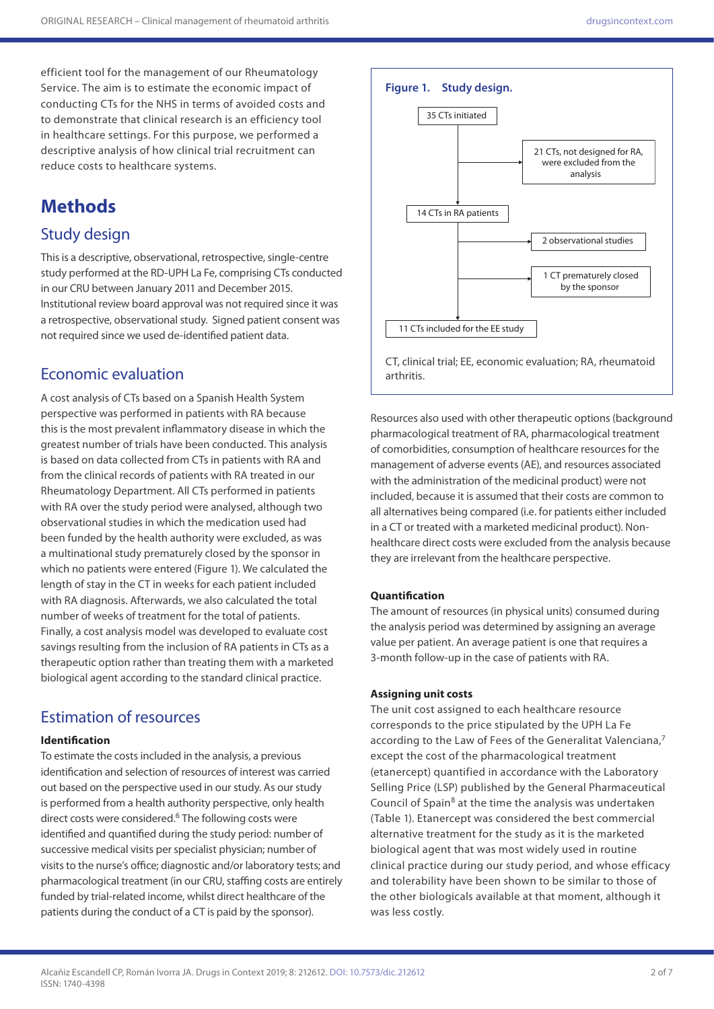efficient tool for the management of our Rheumatology Service. The aim is to estimate the economic impact of conducting CTs for the NHS in terms of avoided costs and to demonstrate that clinical research is an efficiency tool in healthcare settings. For this purpose, we performed a descriptive analysis of how clinical trial recruitment can reduce costs to healthcare systems.

# **Methods**

### Study design

This is a descriptive, observational, retrospective, single-centre study performed at the RD-UPH La Fe, comprising CTs conducted in our CRU between January 2011 and December 2015. Institutional review board approval was not required since it was a retrospective, observational study. Signed patient consent was not required since we used de-identified patient data.

### Economic evaluation

A cost analysis of CTs based on a Spanish Health System perspective was performed in patients with RA because this is the most prevalent inflammatory disease in which the greatest number of trials have been conducted. This analysis is based on data collected from CTs in patients with RA and from the clinical records of patients with RA treated in our Rheumatology Department. All CTs performed in patients with RA over the study period were analysed, although two observational studies in which the medication used had been funded by the health authority were excluded, as was a multinational study prematurely closed by the sponsor in which no patients were entered (Figure 1). We calculated the length of stay in the CT in weeks for each patient included with RA diagnosis. Afterwards, we also calculated the total number of weeks of treatment for the total of patients. Finally, a cost analysis model was developed to evaluate cost savings resulting from the inclusion of RA patients in CTs as a therapeutic option rather than treating them with a marketed biological agent according to the standard clinical practice.

### Estimation of resources

### **Identification**

To estimate the costs included in the analysis, a previous identification and selection of resources of interest was carried out based on the perspective used in our study. As our study is performed from a health authority perspective, only health direct costs were considered.<sup>6</sup> The following costs were identified and quantified during the study period: number of successive medical visits per specialist physician; number of visits to the nurse's office; diagnostic and/or laboratory tests; and pharmacological treatment (in our CRU, staffing costs are entirely funded by trial-related income, whilst direct healthcare of the patients during the conduct of a CT is paid by the sponsor).



Resources also used with other therapeutic options (background pharmacological treatment of RA, pharmacological treatment of comorbidities, consumption of healthcare resources for the management of adverse events (AE), and resources associated with the administration of the medicinal product) were not included, because it is assumed that their costs are common to all alternatives being compared (i.e. for patients either included in a CT or treated with a marketed medicinal product). Nonhealthcare direct costs were excluded from the analysis because they are irrelevant from the healthcare perspective.

#### **Quantification**

The amount of resources (in physical units) consumed during the analysis period was determined by assigning an average value per patient. An average patient is one that requires a 3-month follow-up in the case of patients with RA.

#### **Assigning unit costs**

The unit cost assigned to each healthcare resource corresponds to the price stipulated by the UPH La Fe according to the Law of Fees of the Generalitat Valenciana,<sup>7</sup> except the cost of the pharmacological treatment (etanercept) quantified in accordance with the Laboratory Selling Price (LSP) published by the General Pharmaceutical Council of Spain<sup>8</sup> at the time the analysis was undertaken (Table 1). Etanercept was considered the best commercial alternative treatment for the study as it is the marketed biological agent that was most widely used in routine clinical practice during our study period, and whose efficacy and tolerability have been shown to be similar to those of the other biologicals available at that moment, although it was less costly.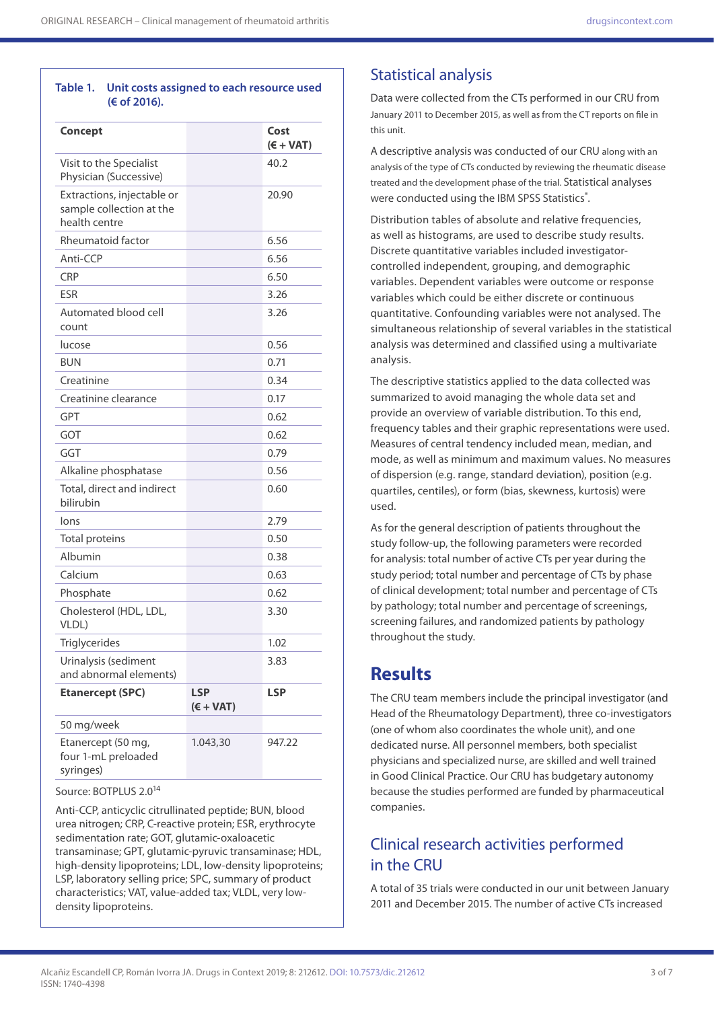#### **Table 1. Unit costs assigned to each resource used (€ of 2016).**

| Concept                                                                 |                           | Cost<br>$(€ + VAT)$ |
|-------------------------------------------------------------------------|---------------------------|---------------------|
| Visit to the Specialist<br>Physician (Successive)                       |                           | 40.2                |
| Extractions, injectable or<br>sample collection at the<br>health centre |                           | 20.90               |
| Rheumatoid factor                                                       |                           | 6.56                |
| Anti-CCP                                                                |                           | 6.56                |
| <b>CRP</b>                                                              |                           | 6.50                |
| <b>ESR</b>                                                              |                           | 3.26                |
| Automated blood cell<br>count                                           |                           | 3.26                |
| lucose                                                                  |                           | 0.56                |
| <b>BUN</b>                                                              |                           | 0.71                |
| Creatinine                                                              |                           | 0.34                |
| Creatinine clearance                                                    |                           | 0.17                |
| GPT                                                                     |                           | 0.62                |
| GOT                                                                     |                           | 0.62                |
| GGT                                                                     |                           | 0.79                |
| Alkaline phosphatase                                                    |                           | 0.56                |
| Total, direct and indirect<br>bilirubin                                 |                           | 0.60                |
| lons                                                                    |                           | 2.79                |
| <b>Total proteins</b>                                                   |                           | 0.50                |
| Albumin                                                                 |                           | 0.38                |
| Calcium                                                                 |                           | 0.63                |
| Phosphate                                                               |                           | 0.62                |
| Cholesterol (HDL, LDL,<br>VLDL)                                         |                           | 3.30                |
| Triglycerides                                                           |                           | 1.02                |
| Urinalysis (sediment<br>and abnormal elements)                          |                           | 3.83                |
| <b>Etanercept (SPC)</b>                                                 | <b>LSP</b><br>$(€ + VAT)$ | <b>LSP</b>          |
| 50 mg/week                                                              |                           |                     |
| Etanercept (50 mg,<br>four 1-mL preloaded<br>syringes)                  | 1.043,30                  | 947.22              |

Source: BOTPLUS 2.0<sup>14</sup>

Anti-CCP, anticyclic citrullinated peptide; BUN, blood urea nitrogen; CRP, C-reactive protein; ESR, erythrocyte sedimentation rate; GOT, glutamic-oxaloacetic transaminase; GPT, glutamic-pyruvic transaminase; HDL, high-density lipoproteins; LDL, low-density lipoproteins; LSP, laboratory selling price; SPC, summary of product characteristics; VAT, value-added tax; VLDL, very lowdensity lipoproteins.

### Statistical analysis

Data were collected from the CTs performed in our CRU from January 2011 to December 2015, as well as from the CT reports on file in this unit.

A descriptive analysis was conducted of our CRU along with an analysis of the type of CTs conducted by reviewing the rheumatic disease treated and the development phase of the trial. Statistical analyses were conducted using the IBM SPSS Statistics®.

Distribution tables of absolute and relative frequencies, as well as histograms, are used to describe study results. Discrete quantitative variables included investigatorcontrolled independent, grouping, and demographic variables. Dependent variables were outcome or response variables which could be either discrete or continuous quantitative. Confounding variables were not analysed. The simultaneous relationship of several variables in the statistical analysis was determined and classified using a multivariate analysis.

The descriptive statistics applied to the data collected was summarized to avoid managing the whole data set and provide an overview of variable distribution. To this end, frequency tables and their graphic representations were used. Measures of central tendency included mean, median, and mode, as well as minimum and maximum values. No measures of dispersion (e.g. range, standard deviation), position (e.g. quartiles, centiles), or form (bias, skewness, kurtosis) were used.

As for the general description of patients throughout the study follow-up, the following parameters were recorded for analysis: total number of active CTs per year during the study period; total number and percentage of CTs by phase of clinical development; total number and percentage of CTs by pathology; total number and percentage of screenings, screening failures, and randomized patients by pathology throughout the study.

### **Results**

The CRU team members include the principal investigator (and Head of the Rheumatology Department), three co-investigators (one of whom also coordinates the whole unit), and one dedicated nurse. All personnel members, both specialist physicians and specialized nurse, are skilled and well trained in Good Clinical Practice. Our CRU has budgetary autonomy because the studies performed are funded by pharmaceutical companies.

### Clinical research activities performed in the CRU

A total of 35 trials were conducted in our unit between January 2011 and December 2015. The number of active CTs increased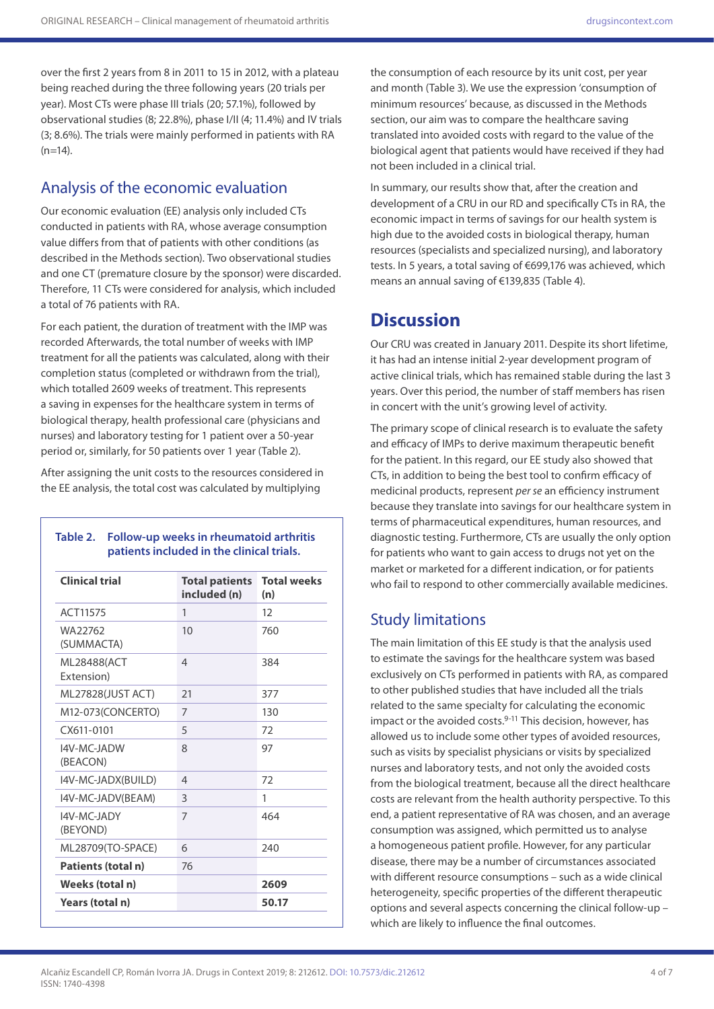over the first 2 years from 8 in 2011 to 15 in 2012, with a plateau being reached during the three following years (20 trials per year). Most CTs were phase III trials (20; 57.1%), followed by observational studies (8; 22.8%), phase I/II (4; 11.4%) and IV trials (3; 8.6%). The trials were mainly performed in patients with RA  $(n=14)$ .

## Analysis of the economic evaluation

Our economic evaluation (EE) analysis only included CTs conducted in patients with RA, whose average consumption value differs from that of patients with other conditions (as described in the Methods section). Two observational studies and one CT (premature closure by the sponsor) were discarded. Therefore, 11 CTs were considered for analysis, which included a total of 76 patients with RA.

For each patient, the duration of treatment with the IMP was recorded Afterwards, the total number of weeks with IMP treatment for all the patients was calculated, along with their completion status (completed or withdrawn from the trial), which totalled 2609 weeks of treatment. This represents a saving in expenses for the healthcare system in terms of biological therapy, health professional care (physicians and nurses) and laboratory testing for 1 patient over a 50-year period or, similarly, for 50 patients over 1 year (Table 2).

After assigning the unit costs to the resources considered in the EE analysis, the total cost was calculated by multiplying

### **Table 2. Follow-up weeks in rheumatoid arthritis patients included in the clinical trials.**

| <b>Clinical trial</b>     | <b>Total patients</b><br>included (n) | <b>Total weeks</b><br>(n) |
|---------------------------|---------------------------------------|---------------------------|
| ACT11575                  | 1                                     | 12                        |
| WA22762<br>(SUMMACTA)     | 10                                    | 760                       |
| ML28488(ACT<br>Extension) | $\overline{4}$                        | 384                       |
| ML27828(JUST ACT)         | 21                                    | 377                       |
| M12-073(CONCERTO)         | $\overline{7}$                        | 130                       |
| CX611-0101                | 5                                     | 72                        |
| I4V-MC-JADW<br>(BEACON)   | 8                                     | 97                        |
| I4V-MC-JADX(BUILD)        | $\overline{4}$                        | 72                        |
| I4V-MC-JADV(BEAM)         | 3                                     | 1                         |
| I4V-MC-JADY<br>(BEYOND)   | $\overline{7}$                        | 464                       |
| ML28709(TO-SPACE)         | 6                                     | 240                       |
| Patients (total n)        | 76                                    |                           |
| Weeks (total n)           |                                       | 2609                      |
| Years (total n)           |                                       | 50.17                     |

the consumption of each resource by its unit cost, per year and month (Table 3). We use the expression 'consumption of minimum resources' because, as discussed in the Methods section, our aim was to compare the healthcare saving translated into avoided costs with regard to the value of the biological agent that patients would have received if they had not been included in a clinical trial.

In summary, our results show that, after the creation and development of a CRU in our RD and specifically CTs in RA, the economic impact in terms of savings for our health system is high due to the avoided costs in biological therapy, human resources (specialists and specialized nursing), and laboratory tests. In 5 years, a total saving of €699,176 was achieved, which means an annual saving of €139,835 (Table 4).

## **Discussion**

Our CRU was created in January 2011. Despite its short lifetime, it has had an intense initial 2-year development program of active clinical trials, which has remained stable during the last 3 years. Over this period, the number of staff members has risen in concert with the unit's growing level of activity.

The primary scope of clinical research is to evaluate the safety and efficacy of IMPs to derive maximum therapeutic benefit for the patient. In this regard, our EE study also showed that CTs, in addition to being the best tool to confirm efficacy of medicinal products, represent *per se* an efficiency instrument because they translate into savings for our healthcare system in terms of pharmaceutical expenditures, human resources, and diagnostic testing. Furthermore, CTs are usually the only option for patients who want to gain access to drugs not yet on the market or marketed for a different indication, or for patients who fail to respond to other commercially available medicines.

### Study limitations

The main limitation of this EE study is that the analysis used to estimate the savings for the healthcare system was based exclusively on CTs performed in patients with RA, as compared to other published studies that have included all the trials related to the same specialty for calculating the economic impact or the avoided costs. $9-11$  This decision, however, has allowed us to include some other types of avoided resources, such as visits by specialist physicians or visits by specialized nurses and laboratory tests, and not only the avoided costs from the biological treatment, because all the direct healthcare costs are relevant from the health authority perspective. To this end, a patient representative of RA was chosen, and an average consumption was assigned, which permitted us to analyse a homogeneous patient profile. However, for any particular disease, there may be a number of circumstances associated with different resource consumptions – such as a wide clinical heterogeneity, specific properties of the different therapeutic options and several aspects concerning the clinical follow-up – which are likely to influence the final outcomes.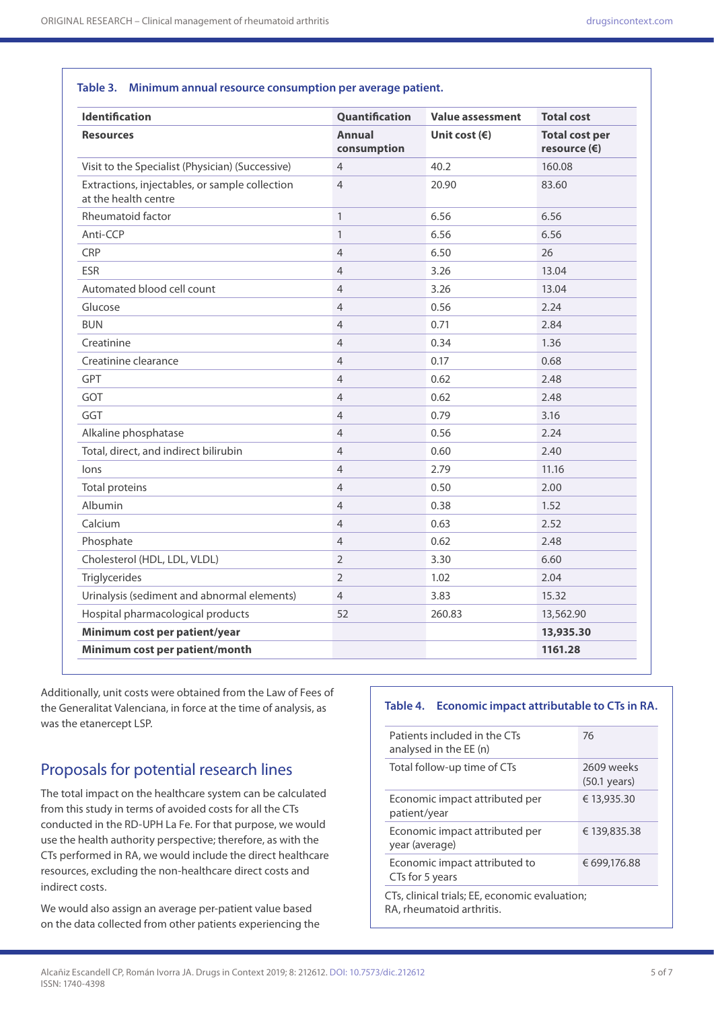| <b>Identification</b>                                                  | Quantification               | <b>Value assessment</b> | <b>Total cost</b>                              |
|------------------------------------------------------------------------|------------------------------|-------------------------|------------------------------------------------|
| <b>Resources</b>                                                       | <b>Annual</b><br>consumption | Unit cost $(\epsilon)$  | <b>Total cost per</b><br>resource $(\epsilon)$ |
| Visit to the Specialist (Physician) (Successive)                       | $\overline{4}$               | 40.2                    | 160.08                                         |
| Extractions, injectables, or sample collection<br>at the health centre | $\overline{4}$               | 20.90                   | 83.60                                          |
| Rheumatoid factor                                                      | $\mathbf{1}$                 | 6.56                    | 6.56                                           |
| Anti-CCP                                                               | $\mathbf{1}$                 | 6.56                    | 6.56                                           |
| <b>CRP</b>                                                             | $\overline{4}$               | 6.50                    | 26                                             |
| <b>ESR</b>                                                             | $\overline{4}$               | 3.26                    | 13.04                                          |
| Automated blood cell count                                             | $\overline{4}$               | 3.26                    | 13.04                                          |
| Glucose                                                                | $\overline{4}$               | 0.56                    | 2.24                                           |
| <b>BUN</b>                                                             | $\overline{4}$               | 0.71                    | 2.84                                           |
| Creatinine                                                             | $\overline{4}$               | 0.34                    | 1.36                                           |
| Creatinine clearance                                                   | $\overline{4}$               | 0.17                    | 0.68                                           |
| GPT                                                                    | $\overline{4}$               | 0.62                    | 2.48                                           |
| GOT                                                                    | $\overline{4}$               | 0.62                    | 2.48                                           |
| GGT                                                                    | $\overline{4}$               | 0.79                    | 3.16                                           |
| Alkaline phosphatase                                                   | $\overline{4}$               | 0.56                    | 2.24                                           |
| Total, direct, and indirect bilirubin                                  | $\overline{4}$               | 0.60                    | 2.40                                           |
| lons                                                                   | $\overline{4}$               | 2.79                    | 11.16                                          |
| <b>Total proteins</b>                                                  | $\overline{4}$               | 0.50                    | 2.00                                           |
| Albumin                                                                | $\overline{4}$               | 0.38                    | 1.52                                           |
| Calcium                                                                | $\overline{4}$               | 0.63                    | 2.52                                           |
| Phosphate                                                              | $\overline{4}$               | 0.62                    | 2.48                                           |
| Cholesterol (HDL, LDL, VLDL)                                           | $\overline{2}$               | 3.30                    | 6.60                                           |
| Triglycerides                                                          | $\overline{2}$               | 1.02                    | 2.04                                           |
| Urinalysis (sediment and abnormal elements)                            | $\overline{4}$               | 3.83                    | 15.32                                          |
| Hospital pharmacological products                                      | 52                           | 260.83                  | 13,562.90                                      |
| Minimum cost per patient/year                                          |                              |                         | 13,935.30                                      |
| Minimum cost per patient/month                                         |                              |                         | 1161.28                                        |

#### **Table 3. Minimum annual resource consumption per average patient.**

Additionally, unit costs were obtained from the Law of Fees of the Generalitat Valenciana, in force at the time of analysis, as was the etanercept LSP.

### Proposals for potential research lines

The total impact on the healthcare system can be calculated from this study in terms of avoided costs for all the CTs conducted in the RD-UPH La Fe. For that purpose, we would use the health authority perspective; therefore, as with the CTs performed in RA, we would include the direct healthcare resources, excluding the non-healthcare direct costs and indirect costs.

We would also assign an average per-patient value based on the data collected from other patients experiencing the

#### **Table 4. Economic impact attributable to CTs in RA.**

| Patients included in the CTs<br>analysed in the EE (n)                      | 76                                   |  |  |  |
|-----------------------------------------------------------------------------|--------------------------------------|--|--|--|
| Total follow-up time of CTs                                                 | 2609 weeks<br>$(50.1 \text{ years})$ |  |  |  |
| Economic impact attributed per<br>patient/year                              | € 13,935.30                          |  |  |  |
| Economic impact attributed per<br>year (average)                            | € 139,835.38                         |  |  |  |
| Economic impact attributed to<br>CTs for 5 years                            | € 699,176.88                         |  |  |  |
| CTs, clinical trials; EE, economic evaluation;<br>RA, rheumatoid arthritis. |                                      |  |  |  |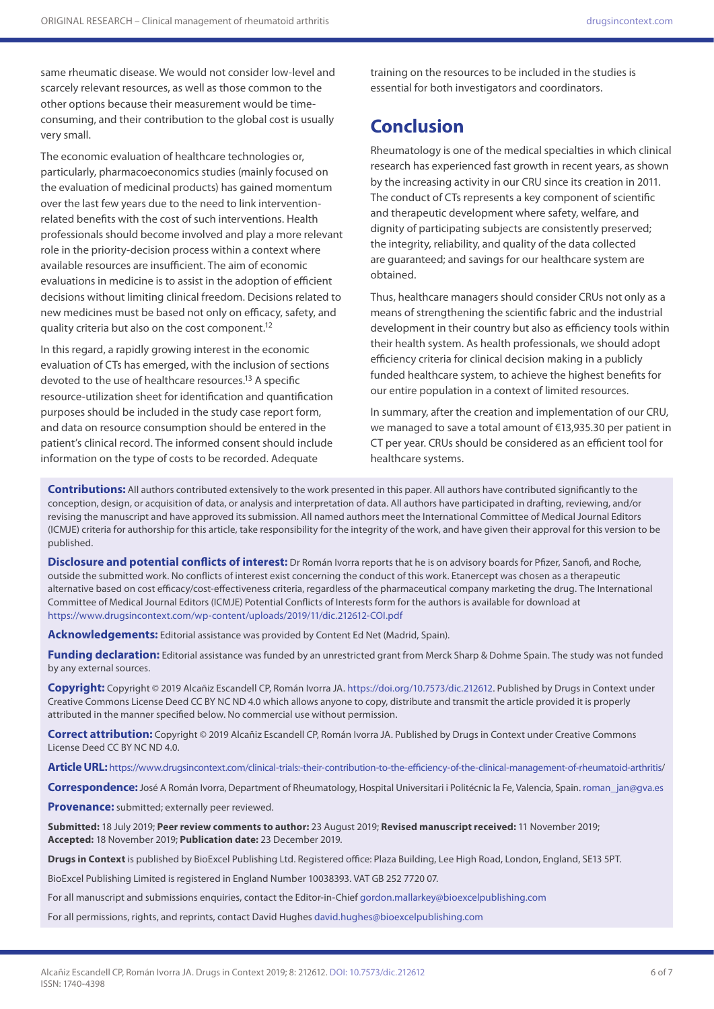same rheumatic disease. We would not consider low-level and scarcely relevant resources, as well as those common to the other options because their measurement would be timeconsuming, and their contribution to the global cost is usually very small.

The economic evaluation of healthcare technologies or, particularly, pharmacoeconomics studies (mainly focused on the evaluation of medicinal products) has gained momentum over the last few years due to the need to link interventionrelated benefits with the cost of such interventions. Health professionals should become involved and play a more relevant role in the priority-decision process within a context where available resources are insufficient. The aim of economic evaluations in medicine is to assist in the adoption of efficient decisions without limiting clinical freedom. Decisions related to new medicines must be based not only on efficacy, safety, and quality criteria but also on the cost component.<sup>12</sup>

In this regard, a rapidly growing interest in the economic evaluation of CTs has emerged, with the inclusion of sections devoted to the use of healthcare resources.<sup>13</sup> A specific resource-utilization sheet for identification and quantification purposes should be included in the study case report form, and data on resource consumption should be entered in the patient's clinical record. The informed consent should include information on the type of costs to be recorded. Adequate

training on the resources to be included in the studies is essential for both investigators and coordinators.

## **Conclusion**

Rheumatology is one of the medical specialties in which clinical research has experienced fast growth in recent years, as shown by the increasing activity in our CRU since its creation in 2011. The conduct of CTs represents a key component of scientific and therapeutic development where safety, welfare, and dignity of participating subjects are consistently preserved; the integrity, reliability, and quality of the data collected are guaranteed; and savings for our healthcare system are obtained.

Thus, healthcare managers should consider CRUs not only as a means of strengthening the scientific fabric and the industrial development in their country but also as efficiency tools within their health system. As health professionals, we should adopt efficiency criteria for clinical decision making in a publicly funded healthcare system, to achieve the highest benefits for our entire population in a context of limited resources.

In summary, after the creation and implementation of our CRU, we managed to save a total amount of €13,935.30 per patient in CT per year. CRUs should be considered as an efficient tool for healthcare systems.

**Contributions:** All authors contributed extensively to the work presented in this paper. All authors have contributed significantly to the conception, design, or acquisition of data, or analysis and interpretation of data. All authors have participated in drafting, reviewing, and/or revising the manuscript and have approved its submission. All named authors meet the International Committee of Medical Journal Editors (ICMJE) criteria for authorship for this article, take responsibility for the integrity of the work, and have given their approval for this version to be published.

**Disclosure and potential conflicts of interest:** Dr Román Ivorra reports that he is on advisory boards for Pfizer, Sanofi, and Roche, outside the submitted work. No conflicts of interest exist concerning the conduct of this work. Etanercept was chosen as a therapeutic alternative based on cost efficacy/cost-effectiveness criteria, regardless of the pharmaceutical company marketing the drug. The International Committee of Medical Journal Editors (ICMJE) Potential Conflicts of Interests form for the authors is available for download at <https://www.drugsincontext.com/wp-content/uploads/2019/11/dic.212612-COI.pdf>

**Acknowledgements:** Editorial assistance was provided by Content Ed Net (Madrid, Spain).

Funding declaration: Editorial assistance was funded by an unrestricted grant from Merck Sharp & Dohme Spain. The study was not funded by any external sources.

**Copyright:** Copyright © 2019 Alcañiz Escandell CP, Román Ivorra JA. <https://doi.org/10.7573/dic.212612>. Published by Drugs in Context under Creative Commons License Deed CC BY NC ND 4.0 which allows anyone to copy, distribute and transmit the article provided it is properly attributed in the manner specified below. No commercial use without permission.

**Correct attribution:** Copyright © 2019 Alcañiz Escandell CP, Román Ivorra JA. Published by Drugs in Context under Creative Commons License Deed CC BY NC ND 4.0.

**Article URL:** [https://www.drugsincontext.com/clinical-trials:-their-contribution-to-the-efficiency-of-the-clinical-management-of-rheumatoid-arthritis/](https://www.drugsincontext.com/clinical-trials:-their-contribution-to-the-efficiency-of-the-clinical-management-of-rheumatoid-arthritis)

**Correspondence:**José A Román Ivorra, Department of Rheumatology, Hospital Universitari i Politécnic la Fe, Valencia, Spain. [roman\\_jan@gva.es](mailto:roman_jan@gva.es)

**Provenance:** submitted; externally peer reviewed.

**Submitted:** 18 July 2019; **Peer review comments to author:** 23 August 2019; **Revised manuscript received:** 11 November 2019; **Accepted:** 18 November 2019; **Publication date:** 23 December 2019.

**Drugs in Context** is published by BioExcel Publishing Ltd. Registered office: Plaza Building, Lee High Road, London, England, SE13 5PT.

BioExcel Publishing Limited is registered in England Number 10038393. VAT GB 252 7720 07.

For all manuscript and submissions enquiries, contact the Editor-in-Chief [gordon.mallarkey@bioexcelpublishing.com](mailto:gordon.mallarkey@bioexcelpublishing.com)

For all permissions, rights, and reprints, contact David Hughes [david.hughes@bioexcelpublishing.com](mailto:david.hughes@bioexcelpublishing.com)